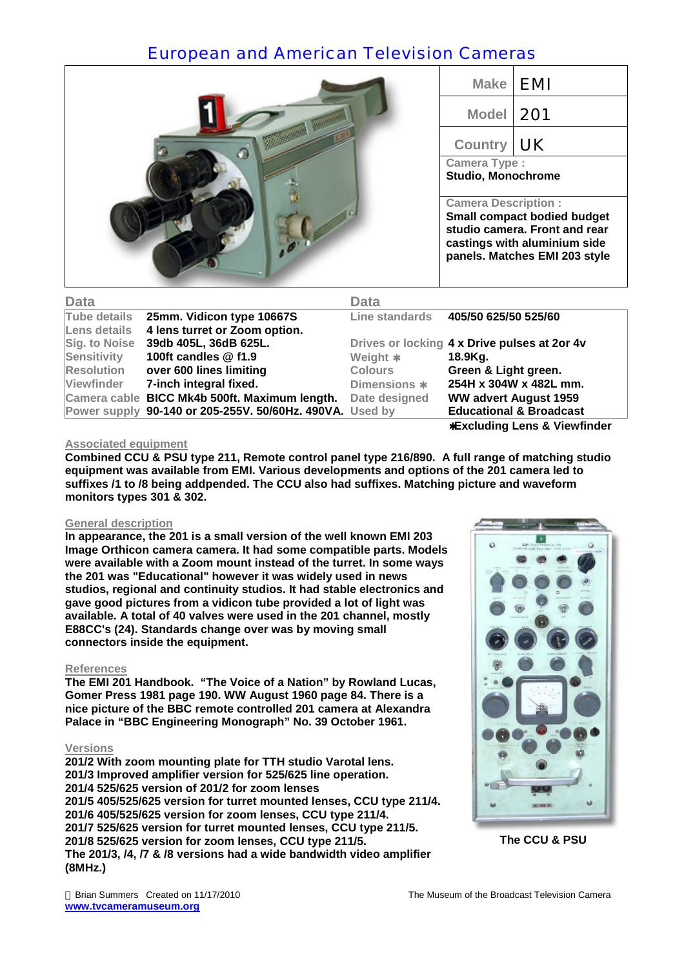# European and American Television Cameras



| <b>Make</b>                                                                                       | <b>EMI</b> |  |
|---------------------------------------------------------------------------------------------------|------------|--|
| <b>Model</b>                                                                                      | 201        |  |
| <b>Country</b>                                                                                    | $\vert$ UK |  |
| <b>Camera Type:</b><br><b>Studio, Monochrome</b>                                                  |            |  |
| <b>Camera Description:</b><br><b>Small compact bodied budget</b><br>studio camera. Front and rear |            |  |

**castings with aluminium side panels. Matches EMI 203 style**

| <b>Data</b>       |                                                          | <b>Data</b>    |                                              |
|-------------------|----------------------------------------------------------|----------------|----------------------------------------------|
| Tube details      | 25mm. Vidicon type 10667S                                |                | Line standards 405/50 625/50 525/60          |
| Lens details      | 4 lens turret or Zoom option.                            |                |                                              |
| Sig. to Noise     | 39db 405L, 36dB 625L.                                    |                | Drives or locking 4 x Drive pulses at 2or 4v |
| Sensitivity       | 100ft candles @ f1.9                                     | Weight *       | 18.9Kg.                                      |
| <b>Resolution</b> | over 600 lines limiting                                  | <b>Colours</b> | Green & Light green.                         |
| <b>Viewfinder</b> | 7-inch integral fixed.                                   | Dimensions *   | 254H x 304W x 482L mm.                       |
|                   | Camera cable BICC Mk4b 500ft. Maximum length.            | Date designed  | <b>WW advert August 1959</b>                 |
|                   | Power supply 90-140 or 205-255V. 50/60Hz. 490VA. Used by |                | <b>Educational &amp; Broadcast</b>           |
|                   |                                                          |                | *Excluding Lens & Viewfinder                 |

### **Associated equipment**

**Combined CCU & PSU type 211, Remote control panel type 216/890. A full range of matching studio equipment was available from EMI. Various developments and options of the 201 camera led to suffixes /1 to /8 being addpended. The CCU also had suffixes. Matching picture and waveform monitors types 301 & 302.** 

### **General description**

**In appearance, the 201 is a small version of the well known EMI 203 Image Orthicon camera camera. It had some compatible parts. Models were available with a Zoom mount instead of the turret. In some ways the 201 was "Educational" however it was widely used in news studios, regional and continuity studios. It had stable electronics and gave good pictures from a vidicon tube provided a lot of light was available. A total of 40 valves were used in the 201 channel, mostly E88CC's (24). Standards change over was by moving small connectors inside the equipment.** 

### **References**

**The EMI 201 Handbook. "The Voice of a Nation" by Rowland Lucas, Gomer Press 1981 page 190. WW August 1960 page 84. There is a nice picture of the BBC remote controlled 201 camera at Alexandra Palace in "BBC Engineering Monograph" No. 39 October 1961.** 

#### **Versions**

**201/2 With zoom mounting plate for TTH studio Varotal lens. 201/3 Improved amplifier version for 525/625 line operation. 201/4 525/625 version of 201/2 for zoom lenses 201/5 405/525/625 version for turret mounted lenses, CCU type 211/4. 201/6 405/525/625 version for zoom lenses, CCU type 211/4. 201/7 525/625 version for turret mounted lenses, CCU type 211/5. 201/8 525/625 version for zoom lenses, CCU type 211/5. The 201/3, /4, /7 & /8 versions had a wide bandwidth video amplifier (8MHz.)** 



**The CCU & PSU**